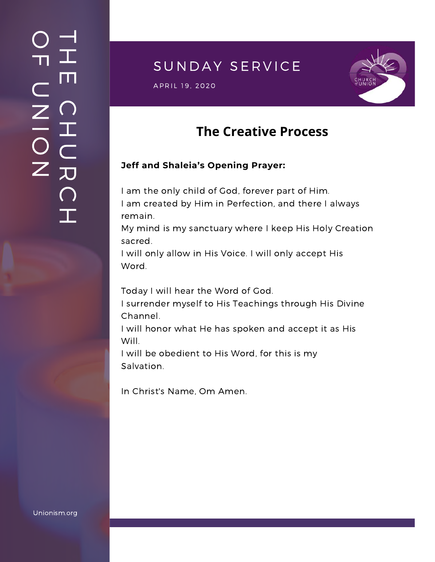### $\overline{\phantom{a}}$ H m.  $\bigcap$ H  $\subset$ 刀  $\bigcap$  $\mathbf{I}$  .  $\bigcirc$  $\blacksquare$  $\subset$  $\mathsf{Z}^+$ <u>In the Second Contract of the Second Contract of the International Second Contract of the International Second Contract of the International Second Contract of the International Second Contract of the International Second</u>  $\bigcirc$  $\mathsf{Z}^+$

## SUNDAY SERVICE

 $\,$  APRIL 19, 2020  $\,$ 



# **The Creative Process**

#### **Jeff and Shaleia's Opening Prayer:**

I am the only child of God, forever part of Him. I am created by Him in Perfection, and there I always remain.

My mind is my sanctuary where I keep His Holy Creation sacred.

I will only allow in His Voice. I will only accept His Word.

Today I will hear the Word of God.

I surrender myself to His Teachings through His Divine Channel.

I will honor what He has spoken and accept it as His Will.

I will be obedient to His Word, for this is my Salvation.

In Christ's Name, Om Amen.